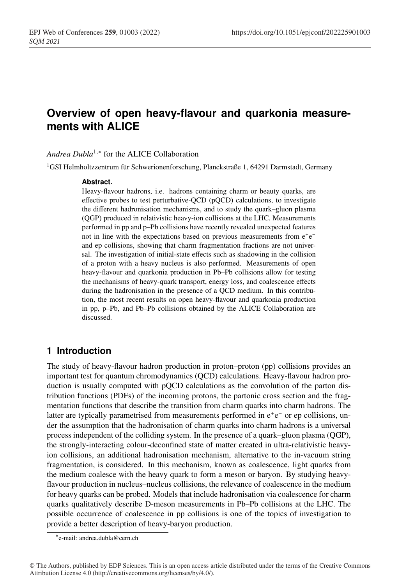# <sup>1</sup> **Overview of open heavy-flavour and quarkonia measure-**<sup>2</sup> **ments with ALICE**

### *Andrea Dubla*<sup>1,∗</sup> for the ALICE Collaboration

<sup>1</sup>GSI Helmholtzzentrum für Schwerionenforschung, Planckstraße 1, 64291 Darmstadt, Germany

#### Abstract.

Heavy-flavour hadrons, i.e. hadrons containing charm or beauty quarks, are <sup>7</sup> effective probes to test perturbative-QCD (pQCD) calculations, to investigate <sup>8</sup> the different hadronisation mechanisms, and to study the quark–gluon plasma (QGP) produced in relativistic heavy-ion collisions at the LHC. Measurements <sup>10</sup> performed in pp and p–Pb collisions have recently revealed unexpected features not in line with the expectations based on previous measurements from e<sup>+</sup>e<sup>−</sup> and ep collisions, showing that charm fragmentation fractions are not universal. The investigation of initial-state effects such as shadowing in the collision of a proton with a heavy nucleus is also performed. Measurements of open <sup>15</sup> heavy-flavour and quarkonia production in Pb–Pb collisions allow for testing the mechanisms of heavy-quark transport, energy loss, and coalescence effects during the hadronisation in the presence of a QCD medium. In this contribu-<sup>18</sup> tion, the most recent results on open heavy-flavour and quarkonia production <sup>19</sup> in pp, p–Pb, and Pb–Pb collisions obtained by the ALICE Collaboration are discussed.

# <sup>21</sup> **1 Introduction**

The study of heavy-flavour hadron production in proton–proton (pp) collisions provides an important test for quantum chromodynamics (QCD) calculations. Heavy-flavour hadron production is usually computed with  $pQCD$  calculations as the convolution of the parton dis-<sup>25</sup> tribution functions (PDFs) of the incoming protons, the partonic cross section and the frag-<sup>26</sup> mentation functions that describe the transition from charm quarks into charm hadrons. The latter are typically parametrised from measurements performed in e<sup>+</sup>e<sup>−</sup> or ep collisions, un-<sup>28</sup> der the assumption that the hadronisation of charm quarks into charm hadrons is a universal <sup>29</sup> process independent of the colliding system. In the presence of a quark–gluon plasma (QGP), the strongly-interacting colour-deconfined state of matter created in ultra-relativistic heavyion collisions, an additional hadronisation mechanism, alternative to the in-vacuum string fragmentation, is considered. In this mechanism, known as coalescence, light quarks from the medium coalesce with the heavy quark to form a meson or baryon. By studying heavyflavour production in nucleus–nucleus collisions, the relevance of coalescence in the medium <sup>35</sup> for heavy quarks can be probed. Models that include hadronisation via coalescence for charm <sup>36</sup> quarks qualitatively describe D-meson measurements in Pb–Pb collisions at the LHC. The <sup>37</sup> possible occurrence of coalescence in pp collisions is one of the topics of investigation to provide a better description of heavy-baryon production.

<sup>∗</sup>e-mail: andrea.dubla@cern.ch

<sup>©</sup> The Authors, published by EDP Sciences. This is an open access article distributed under the terms of the Creative Commons Attribution License 4.0 (http://creativecommons.org/licenses/by/4.0/).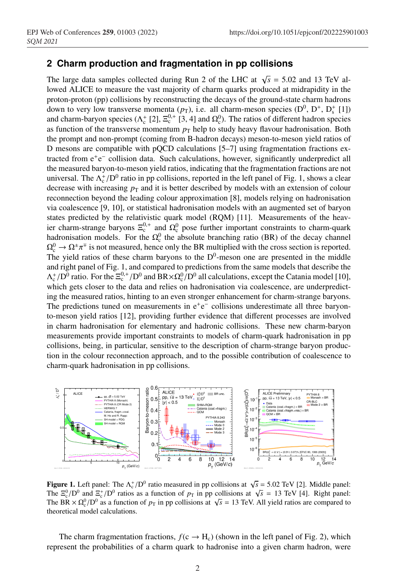## <sup>39</sup> **2 Charm production and fragmentation in pp collisions**

The large data samples collected during Run 2 of the LHC at  $\sqrt{s}$  = 5.02 and 13 TeV allowed ALICE to measure the vast majority of charm quarks produced at midrapidity in the <sup>42</sup> proton-proton (pp) collisions by reconstructing the decays of the ground-state charm hadrons down to very low transverse momenta  $(p_T)$ , i.e. all charm-meson species  $(D^0, D^+, D_s^+$  [1]) and charm-baryon species ( $\Lambda_c^+$  [2],  $\Xi_c^{0,+}$  [3, 4] and  $\Omega_c^0$ ). The ratios of different hadron species as function of the transverse momentum  $p<sub>T</sub>$  help to study heavy flavour hadronisation. Both the prompt and non-prompt (coming from B-hadron decays) meson-to-meson yield ratios of D mesons are compatible with pQCD calculations  $[5–7]$  using fragmentation fractions extracted from e<sup>+</sup>e<sup>−</sup> collision data. Such calculations, however, significantly underpredict all <sup>49</sup> the measured baryon-to-meson yield ratios, indicating that the fragmentation fractions are not universal. The  $\Lambda_c^+ / D^0$  ratio in pp collisions, reported in the left panel of Fig. 1, shows a clear decrease with increasing  $p<sub>T</sub>$  and it is better described by models with an extension of colour <sup>52</sup> reconnection beyond the leading colour approximation [8], models relying on hadronisation <sup>53</sup> via coalescence [9, 10], or statistical hadronisation models with an augmented set of baryon states predicted by the relativistic quark model  $(RQM)$  [11]. Measurements of the heavier charm-strange baryons  $\Xi_c^{0,+}$  and  $\Omega_c^0$  pose further important constraints to charm-quark hadronisation models. For the  $\Omega_c^0$  the absolute branching ratio (BR) of the decay channel  $\Omega_c^0 \to \Omega^{\pm} \pi^{\mp}$  is not measured, hence only the BR multiplied with the cross section is reported. The yield ratios of these charm baryons to the  $D^0$ -meson one are presented in the middle and right panel of Fig. 1, and compared to predictions from the same models that describe the  $\Lambda_c^+/\rm{D}^0$  ratio. For the  $\Xi_c^{0,+}/\rm{D}^0$  and  $\rm{BR} \times \Omega_c^0/\rm{D}^0$  all calculations, except the Catania model [10], which gets closer to the data and relies on hadronisation via coalescence, are underpredicting the measured ratios, hinting to an even stronger enhancement for charm-strange baryons. The predictions tuned on measurements in  $e^+e^-$  collisions underestimate all three baryon-<sup>64</sup> to-meson yield ratios [12], providing further evidence that different processes are involved in charm hadronisation for elementary and hadronic collisions. These new charm-baryon <sup>66</sup> measurements provide important constraints to models of charm-quark hadronisation in pp collisions, being, in particular, sensitive to the description of charm-strange baryon produc-<sup>68</sup> tion in the colour reconnection approach, and to the possible contribution of coalescence to charm-quark hadronisation in pp collisions.



**Figure 1.** Left panel: The  $\Lambda_c^+ / D^0$  ratio measured in pp collisions at  $\sqrt{s} = 5.02$  TeV [2]. Middle panel: The  $\Xi_c^0/D^0$  and  $\Xi_c^+/D^0$  ratios as a function of  $p_T$  in pp collisions at  $\sqrt{s} = 13$  TeV [4]. Right panel: The BR  $\times \Omega_c^0/D^0$  as a function of  $p_T$  in pp collisions at  $\sqrt{s} = 13$  TeV. All yield ratios are compared to theoretical model calculations.

The charm fragmentation fractions,  $f(c \rightarrow H_c)$  (shown in the left panel of Fig. 2), which represent the probabilities of a charm quark to hadronise into a given charm hadron, were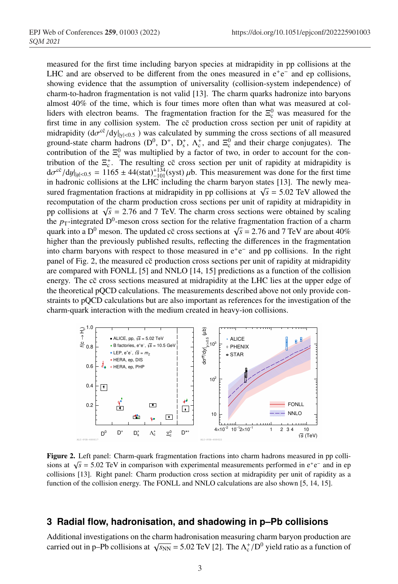<sup>72</sup> measured for the first time including baryon species at midrapidity in pp collisions at the LHC and are observed to be different from the ones measured in  $e^+e^-$  and ep collisions, showing evidence that the assumption of universality (collision-system independence) of charm-to-hadron fragmentation is not valid [13]. The charm quarks hadronize into baryons almost 40% of the time, which is four times more often than what was measured at colliders with electron beams. The fragmentation fraction for the  $\Xi_c^0$  was measured for the first time in any collision system. The  $c\bar{c}$  production cross section per unit of rapidity at midrapidity  $(d\sigma^{c\bar{c}}/dy|_{y|<0.5})$  was calculated by summing the cross sections of all measured ground-state charm hadrons ( $D^0$ ,  $D^+$ ,  $D_s^+$ ,  $\Lambda_c^+$ , and  $\Xi_c^0$  and their charge conjugates). The contribution of the  $\Xi_c^0$  was multiplied by a factor of two, in order to account for the contribution of the  $\Xi_c^+$ . The resulting  $c\bar{c}$  cross section per unit of rapidity at midrapidity is  $d\sigma^{c\bar{c}}/dy|_{|y|<0.5} = 1165 \pm 44(\text{stat})^{+134}_{-101}(\text{syst}) \mu b$ . This measurement was done for the first time in hadronic collisions at the LHC including the charm baryon states [13]. The newly measured fragmentation fractions at midrapidity in pp collisions at  $\sqrt{s} = 5.02$  TeV allowed the recomputation of the charm production cross sections per unit of rapidity at midrapidity in pp collisions at  $\sqrt{s}$  = 2.76 and 7 TeV. The charm cross sections were obtained by scaling the  $p_T$ -integrated  $D^0$ -meson cross section for the relative fragmentation fraction of a charm quark into a D<sup>0</sup> meson. The updated cc cross sections at  $\sqrt{s} = 2.76$  and 7 TeV are about 40% higher than the previously published results, reflecting the differences in the fragmentation into charm baryons with respect to those measured in  $e^+e^-$  and pp collisions. In the right panel of Fig. 2, the measured cc production cross sections per unit of rapidity at midrapidity are compared with FONLL [5] and NNLO [14, 15] predictions as a function of the collision energy. The cc cross sections measured at midrapidity at the LHC lies at the upper edge of the theoretical pQCD calculations. The measurements described above not only provide constraints to pQCD calculations but are also important as references for the investigation of the charm-quark interaction with the medium created in heavy-ion collisions.



Figure 2. Left panel: Charm-quark fragmentation fractions into charm hadrons measured in pp collisions at  $\sqrt{s}$  = 5.02 TeV in comparison with experimental measurements performed in e<sup>+</sup>e<sup>−</sup> and in ep collisions [13]. Right panel: Charm production cross section at midrapidity per unit of rapidity as a function of the collision energy. The FONLL and NNLO calculations are also shown [5, 14, 15].

### <sup>98</sup> **3 Radial flow, hadronisation, and shadowing in p–Pb collisions**

Additional investigations on the charm hadronisation measuring charm baryon production are carried out in p–Pb collisions at  $\sqrt{s_{NN}}$  = 5.02 TeV [2]. The  $\Lambda_c^+ / D^0$  yield ratio as a function of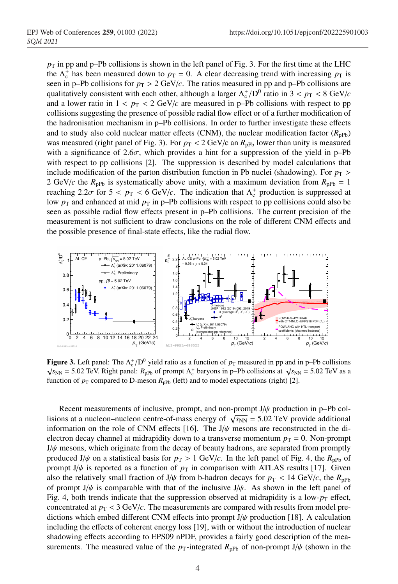$p_T$  in pp and p–Pb collisions is shown in the left panel of Fig. 3. For the first time at the LHC the  $\Lambda_c^+$  has been measured down to  $p_T = 0$ . A clear decreasing trend with increasing  $p_T$  is seen in p–Pb collisions for  $p_T > 2 \text{ GeV}/c$ . The ratios measured in pp and p–Pb collisions are qualitatively consistent with each other, although a larger  $\Lambda_c^+/D^0$  ratio in  $3 < p_T < 8$  GeV/*c* and a lower ratio in  $1 < p_T < 2$  GeV/*c* are measured in p–Pb collisions with respect to pp <sup>106</sup> collisions suggesting the presence of possible radial flow effect or of a further modification of <sup>107</sup> the hadronisation mechanism in p–Pb collisions. In order to further investigate these effects and to study also cold nuclear matter effects (CNM), the nuclear modification factor  $(R_{\text{pPb}})$ was measured (right panel of Fig. 3). For  $p_T < 2 \text{ GeV/c}$  an  $R_{\text{nPh}}$  lower than unity is measured with a significance of  $2.6\sigma$ , which provides a hint for a suppression of the yield in p–Pb with respect to pp collisions [2]. The suppression is described by model calculations that include modification of the parton distribution function in Pb nuclei (shadowing). For  $p_T >$ 2 GeV/*c* the  $R_{\text{pPb}}$  is systematically above unity, with a maximum deviation from  $R_{\text{pPb}} = 1$ reaching  $2.2\sigma$  for  $5 < p_T < 6$  GeV/*c*. The indication that  $\Lambda_c^+$  production is suppressed at low  $p_T$  and enhanced at mid  $p_T$  in p–Pb collisions with respect to pp collisions could also be <sup>116</sup> seen as possible radial flow effects present in p–Pb collisions. The current precision of the measurement is not sufficient to draw conclusions on the role of different CNM effects and the possible presence of final-state effects, like the radial flow.



Figure 3. Left panel: The  $\Lambda_c^+ / D^0$  yield ratio as a function of  $p_T$  measured in pp and in p–Pb collisions  $\sqrt{s_{NN}}$  = 5.02 TeV. Right panel: *R*<sub>pPb</sub> of prompt  $\Lambda_c^+$  baryons in p–Pb collisions at  $\sqrt{s_{NN}}$  = 5.02 TeV as a function of  $p_T$  compared to D-meson  $R_{pPb}$  (left) and to model expectations (right) [2].

Recent measurements of inclusive, prompt, and non-prompt  $J/\psi$  production in p–Pb collisions at a nucleon–nucleon centre-of-mass energy of  $\sqrt{s_{NN}}$  = 5.02 TeV provide additional information on the role of CNM effects [16]. The  $J/\psi$  mesons are reconstructed in the dielectron decay channel at midrapidity down to a transverse momentum  $p_T = 0$ . Non-prompt  $J/\psi$  mesons, which originate from the decay of beauty hadrons, are separated from promptly produced J/ $\psi$  on a statistical basis for  $p_T > 1$  GeV/*c*. In the left panel of Fig. 4, the  $R_{\text{pPb}}$  of prompt J/ $\psi$  is reported as a function of  $p<sub>T</sub>$  in comparison with ATLAS results [17]. Given also the relatively small fraction of  $J/\psi$  from b-hadron decays for  $p_T < 14$  GeV/*c*, the  $R_{\text{pPb}}$ of prompt  $J/\psi$  is comparable with that of the inclusive  $J/\psi$ . As shown in the left panel of Fig. 4, both trends indicate that the suppression observed at midrapidity is a low- $p<sub>T</sub>$  effect, concentrated at  $p_T < 3$  GeV/*c*. The measurements are compared with results from model predictions which embed different CNM effects into prompt  $J/\psi$  production [18]. A calculation including the effects of coherent energy loss [19], with or without the introduction of nuclear shadowing effects according to EPS09 nPDF, provides a fairly good description of the measurements. The measured value of the  $p_T$ -integrated  $R_{\text{pPb}}$  of non-prompt J/ $\psi$  (shown in the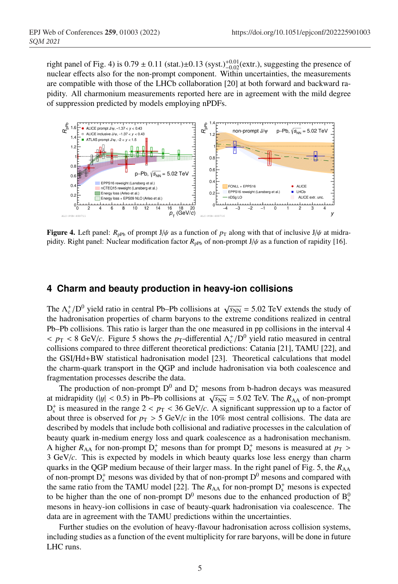right panel of Fig. 4) is  $0.79 \pm 0.11$  (stat.)±0.13 (syst.)<sup>+0.01</sup>(extr.), suggesting the presence of nuclear effects also for the non-prompt component. Within uncertainties, the measurements are compatible with those of the LHCb collaboration [20] at both forward and backward rapidity. All charmonium measurements reported here are in agreement with the mild degree of suppression predicted by models employing nPDFs.



**Figure 4.** Left panel:  $R_{\text{pPb}}$  of prompt J/ $\psi$  as a function of  $p_{\text{T}}$  along with that of inclusive J/ $\psi$  at midrapidity. Right panel: Nuclear modification factor  $R_{\text{pPb}}$  of non-prompt J/ $\psi$  as a function of rapidity [16].

#### <sup>139</sup> **4 Charm and beauty production in heavy-ion collisions**

The  $\Lambda_c^+/\mathrm{D}^0$  yield ratio in central Pb–Pb collisions at  $\sqrt{s_{\mathrm{NN}}}$  = 5.02 TeV extends the study of the hadronisation properties of charm baryons to the extreme conditions realized in central Pb–Pb collisions. This ratio is larger than the one measured in pp collisions in the interval 4  $p_T < 8$  GeV/*c*. Figure 5 shows the *p*<sub>T</sub>-differential  $\Lambda_c^+ / D^0$  yield ratio measured in central collisions compared to three different theoretical predictions: Catania [21], TAMU [22], and the GSI/Hd+BW statistical hadronisation model [23]. Theoretical calculations that model the charm-quark transport in the QGP and include hadronisation via both coalescence and fragmentation processes describe the data.

The production of non-prompt  $D^0$  and  $D_s^+$  mesons from b-hadron decays was measured at midrapidity ( $|y| < 0.5$ ) in Pb–Pb collisions at  $\sqrt{s_{NN}} = 5.02$  TeV. The  $R_{AA}$  of non-prompt  $D_s^+$  is measured in the range  $2 < p_T < 36$  GeV/*c*. A significant suppression up to a factor of about three is observed for  $p_T > 5$  GeV/*c* in the 10% most central collisions. The data are described by models that include both collisional and radiative processes in the calculation of <sup>153</sup> beauty quark in-medium energy loss and quark coalescence as a hadronisation mechanism. A higher  $R_{AA}$  for non-prompt  $D_s^+$  mesons than for prompt  $D_s^+$  mesons is measured at  $p_T >$ <sup>155</sup> 3 GeV/*c*. This is expected by models in which beauty quarks lose less energy than charm quarks in the QGP medium because of their larger mass. In the right panel of Fig. 5, the  $R_{AA}$ of non-prompt  $D_s^+$  mesons was divided by that of non-prompt  $D^0$  mesons and compared with the same ratio from the TAMU model [22]. The  $R_{AA}$  for non-prompt  $D_s^+$  mesons is expected to be higher than the one of non-prompt  $D^0$  mesons due to the enhanced production of  $B^0_s$ mesons in heavy-ion collisions in case of beauty-quark hadronisation via coalescence. The data are in agreement with the TAMU predictions within the uncertainties.

Further studies on the evolution of heavy-flavour hadronisation across collision systems, including studies as a function of the event multiplicity for rare baryons, will be done in future LHC runs.